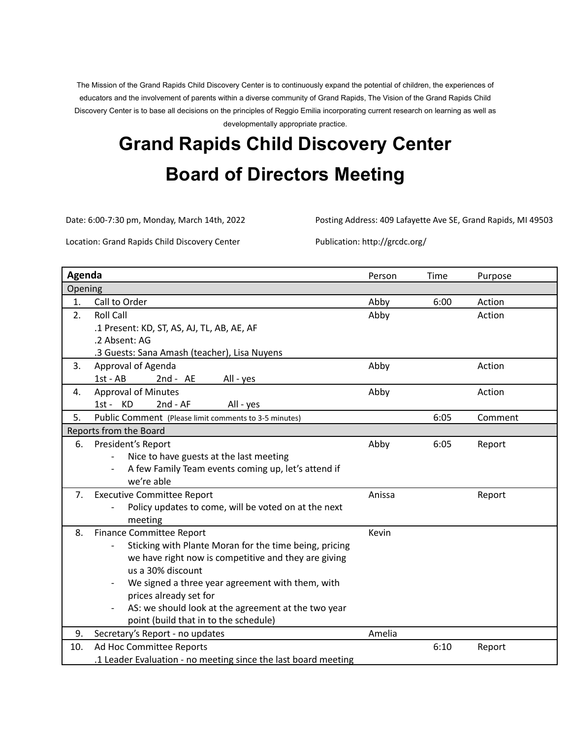The Mission of the Grand Rapids Child Discovery Center is to continuously expand the potential of children, the experiences of educators and the involvement of parents within a diverse community of Grand Rapids, The Vision of the Grand Rapids Child Discovery Center is to base all decisions on the principles of Reggio Emilia incorporating current research on learning as well as developmentally appropriate practice.

# **Grand Rapids Child Discovery Center Board of Directors Meeting**

Date: 6:00-7:30 pm, Monday, March 14th, 2022 Posting Address: 409 Lafayette Ave SE, Grand Rapids, MI 49503

Location: Grand Rapids Child Discovery Center Publication: http://grcdc.org/

| Agenda  |                                                                 | Person | Time | Purpose |  |  |  |
|---------|-----------------------------------------------------------------|--------|------|---------|--|--|--|
| Opening |                                                                 |        |      |         |  |  |  |
| 1.      | Call to Order                                                   | Abby   | 6:00 | Action  |  |  |  |
| 2.      | <b>Roll Call</b>                                                | Abby   |      | Action  |  |  |  |
|         | .1 Present: KD, ST, AS, AJ, TL, AB, AE, AF                      |        |      |         |  |  |  |
|         | .2 Absent: AG                                                   |        |      |         |  |  |  |
|         | .3 Guests: Sana Amash (teacher), Lisa Nuyens                    |        |      |         |  |  |  |
| 3.      | Approval of Agenda                                              | Abby   |      | Action  |  |  |  |
|         | 1st - AB<br>$2nd - AE$<br>All - yes                             |        |      |         |  |  |  |
| 4.      | <b>Approval of Minutes</b>                                      | Abby   |      | Action  |  |  |  |
|         | 1st - KD<br>$2nd - AF$<br>All - yes                             |        |      |         |  |  |  |
| 5.      | Public Comment (Please limit comments to 3-5 minutes)           |        | 6:05 | Comment |  |  |  |
|         | Reports from the Board                                          |        |      |         |  |  |  |
| 6.      | President's Report                                              | Abby   | 6:05 | Report  |  |  |  |
|         | Nice to have guests at the last meeting                         |        |      |         |  |  |  |
|         | A few Family Team events coming up, let's attend if             |        |      |         |  |  |  |
|         | we're able                                                      |        |      |         |  |  |  |
| 7.      | <b>Executive Committee Report</b>                               | Anissa |      | Report  |  |  |  |
|         | Policy updates to come, will be voted on at the next<br>meeting |        |      |         |  |  |  |
| 8.      | <b>Finance Committee Report</b>                                 | Kevin  |      |         |  |  |  |
|         | Sticking with Plante Moran for the time being, pricing          |        |      |         |  |  |  |
|         | we have right now is competitive and they are giving            |        |      |         |  |  |  |
|         | us a 30% discount                                               |        |      |         |  |  |  |
|         | We signed a three year agreement with them, with                |        |      |         |  |  |  |
|         | prices already set for                                          |        |      |         |  |  |  |
|         | AS: we should look at the agreement at the two year             |        |      |         |  |  |  |
|         | point (build that in to the schedule)                           |        |      |         |  |  |  |
| 9.      | Secretary's Report - no updates                                 | Amelia |      |         |  |  |  |
| 10.     | Ad Hoc Committee Reports                                        |        | 6:10 | Report  |  |  |  |
|         | .1 Leader Evaluation - no meeting since the last board meeting  |        |      |         |  |  |  |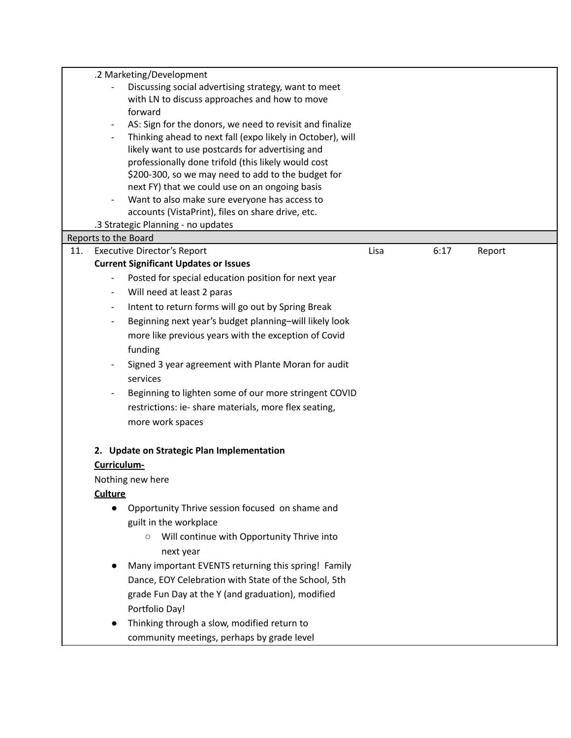|     |                          | .2 Marketing/Development                                                                           |      |      |        |
|-----|--------------------------|----------------------------------------------------------------------------------------------------|------|------|--------|
|     |                          | Discussing social advertising strategy, want to meet                                               |      |      |        |
|     |                          | with LN to discuss approaches and how to move                                                      |      |      |        |
|     |                          | forward                                                                                            |      |      |        |
|     |                          | AS: Sign for the donors, we need to revisit and finalize                                           |      |      |        |
|     |                          | Thinking ahead to next fall (expo likely in October), will                                         |      |      |        |
|     |                          | likely want to use postcards for advertising and                                                   |      |      |        |
|     |                          | professionally done trifold (this likely would cost                                                |      |      |        |
|     |                          | \$200-300, so we may need to add to the budget for                                                 |      |      |        |
|     |                          | next FY) that we could use on an ongoing basis                                                     |      |      |        |
|     |                          | Want to also make sure everyone has access to<br>accounts (VistaPrint), files on share drive, etc. |      |      |        |
|     |                          | .3 Strategic Planning - no updates                                                                 |      |      |        |
|     | Reports to the Board     |                                                                                                    |      |      |        |
| 11. |                          | <b>Executive Director's Report</b>                                                                 | Lisa | 6:17 | Report |
|     |                          | <b>Current Significant Updates or Issues</b>                                                       |      |      |        |
|     |                          | Posted for special education position for next year                                                |      |      |        |
|     | $\overline{\phantom{a}}$ | Will need at least 2 paras                                                                         |      |      |        |
|     | $\overline{\phantom{a}}$ | Intent to return forms will go out by Spring Break                                                 |      |      |        |
|     | $\overline{\phantom{a}}$ | Beginning next year's budget planning-will likely look                                             |      |      |        |
|     |                          | more like previous years with the exception of Covid                                               |      |      |        |
|     |                          | funding                                                                                            |      |      |        |
|     |                          |                                                                                                    |      |      |        |
|     |                          | Signed 3 year agreement with Plante Moran for audit                                                |      |      |        |
|     |                          | services                                                                                           |      |      |        |
|     |                          | Beginning to lighten some of our more stringent COVID                                              |      |      |        |
|     |                          | restrictions: ie- share materials, more flex seating,                                              |      |      |        |
|     |                          | more work spaces                                                                                   |      |      |        |
|     |                          |                                                                                                    |      |      |        |
|     |                          | 2. Update on Strategic Plan Implementation                                                         |      |      |        |
|     | Curriculum-              |                                                                                                    |      |      |        |
|     |                          | Nothing new here                                                                                   |      |      |        |
|     | <b>Culture</b>           |                                                                                                    |      |      |        |
|     |                          | Opportunity Thrive session focused on shame and                                                    |      |      |        |
|     |                          | guilt in the workplace                                                                             |      |      |        |
|     |                          | Will continue with Opportunity Thrive into                                                         |      |      |        |
|     |                          | next year                                                                                          |      |      |        |
|     |                          | Many important EVENTS returning this spring! Family                                                |      |      |        |
|     |                          | Dance, EOY Celebration with State of the School, 5th                                               |      |      |        |
|     |                          | grade Fun Day at the Y (and graduation), modified                                                  |      |      |        |
|     |                          | Portfolio Day!                                                                                     |      |      |        |
|     |                          | Thinking through a slow, modified return to                                                        |      |      |        |
|     |                          | community meetings, perhaps by grade level                                                         |      |      |        |
|     |                          |                                                                                                    |      |      |        |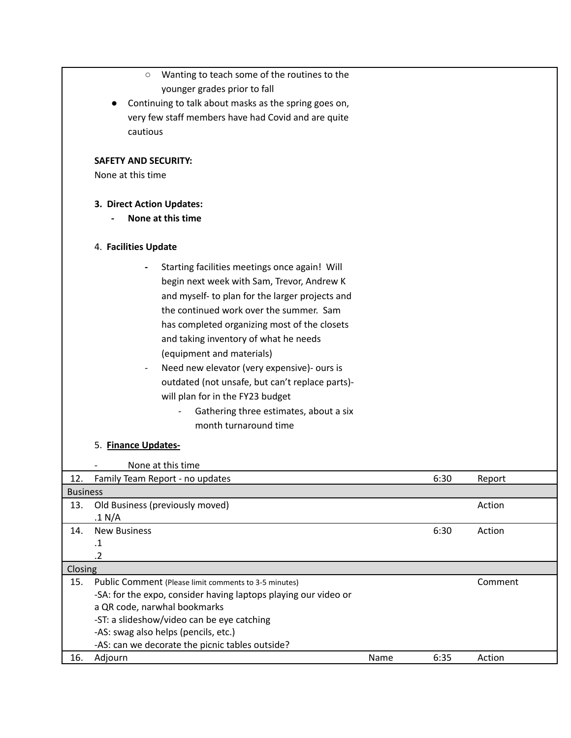|                 | Wanting to teach some of the routines to the<br>$\circ$         |      |      |         |  |  |  |
|-----------------|-----------------------------------------------------------------|------|------|---------|--|--|--|
|                 | younger grades prior to fall                                    |      |      |         |  |  |  |
|                 | Continuing to talk about masks as the spring goes on,           |      |      |         |  |  |  |
|                 | very few staff members have had Covid and are quite             |      |      |         |  |  |  |
|                 | cautious                                                        |      |      |         |  |  |  |
|                 |                                                                 |      |      |         |  |  |  |
|                 | <b>SAFETY AND SECURITY:</b>                                     |      |      |         |  |  |  |
|                 | None at this time                                               |      |      |         |  |  |  |
|                 | 3. Direct Action Updates:                                       |      |      |         |  |  |  |
|                 | None at this time                                               |      |      |         |  |  |  |
|                 | 4. Facilities Update                                            |      |      |         |  |  |  |
|                 | Starting facilities meetings once again! Will                   |      |      |         |  |  |  |
|                 | begin next week with Sam, Trevor, Andrew K                      |      |      |         |  |  |  |
|                 | and myself- to plan for the larger projects and                 |      |      |         |  |  |  |
|                 | the continued work over the summer. Sam                         |      |      |         |  |  |  |
|                 | has completed organizing most of the closets                    |      |      |         |  |  |  |
|                 | and taking inventory of what he needs                           |      |      |         |  |  |  |
|                 |                                                                 |      |      |         |  |  |  |
|                 | (equipment and materials)                                       |      |      |         |  |  |  |
|                 | Need new elevator (very expensive)- ours is                     |      |      |         |  |  |  |
|                 | outdated (not unsafe, but can't replace parts)-                 |      |      |         |  |  |  |
|                 | will plan for in the FY23 budget                                |      |      |         |  |  |  |
|                 | Gathering three estimates, about a six                          |      |      |         |  |  |  |
|                 | month turnaround time                                           |      |      |         |  |  |  |
|                 | 5. Finance Updates-                                             |      |      |         |  |  |  |
|                 | None at this time                                               |      |      |         |  |  |  |
| 12.             | Family Team Report - no updates                                 |      | 6:30 | Report  |  |  |  |
| <b>Business</b> |                                                                 |      |      |         |  |  |  |
| 13.             | Old Business (previously moved)<br>.1 N/A                       |      |      | Action  |  |  |  |
| 14.             | <b>New Business</b>                                             |      | 6:30 | Action  |  |  |  |
|                 | .1                                                              |      |      |         |  |  |  |
|                 | $\cdot$ .2                                                      |      |      |         |  |  |  |
| Closing         |                                                                 |      |      |         |  |  |  |
| 15.             | Public Comment (Please limit comments to 3-5 minutes)           |      |      | Comment |  |  |  |
|                 | -SA: for the expo, consider having laptops playing our video or |      |      |         |  |  |  |
|                 | a QR code, narwhal bookmarks                                    |      |      |         |  |  |  |
|                 | -ST: a slideshow/video can be eye catching                      |      |      |         |  |  |  |
|                 | -AS: swag also helps (pencils, etc.)                            |      |      |         |  |  |  |
|                 | -AS: can we decorate the picnic tables outside?                 |      |      |         |  |  |  |
| 16.             | Adjourn                                                         | Name | 6:35 | Action  |  |  |  |